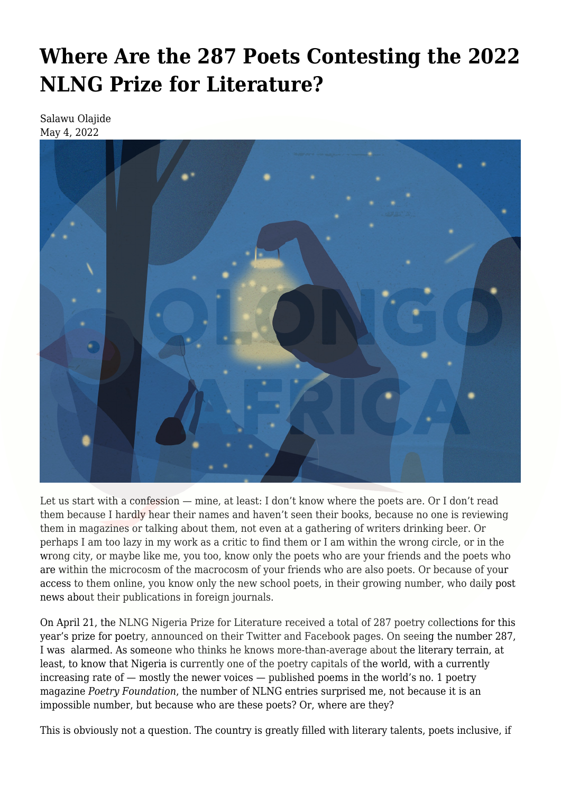## **[Where Are the 287 Poets Contesting the 2022](https://olongoafrica.com/where-are-the-287-poets-contesting-the-2022-nlng-prize-for-literature/) [NLNG Prize for Literature?](https://olongoafrica.com/where-are-the-287-poets-contesting-the-2022-nlng-prize-for-literature/)**

Salawu Olajide May 4, 2022



Let us start with a confession — mine, at least: I don't know where the poets are. Or I don't read them because I hardly hear their names and haven't seen their books, because no one is reviewing them in magazines or talking about them, not even at a gathering of writers drinking beer. Or perhaps I am too lazy in my work as a critic to find them or I am within the wrong circle, or in the wrong city, or maybe like me, you too, know only the poets who are your friends and the poets who are within the microcosm of the macrocosm of your friends who are also poets. Or because of your access to them online, you know only the new school poets, in their growing number, who daily post news about their publications in foreign journals.

On April 21, the NLNG Nigeria Prize for Literature received a total of [287 poetry collections](https://twitter.com/NGRLitPrize/status/1517201580881285121) for this year's prize for poetry, announced on their Twitter and Facebook pages. On seeing the number 287, I was alarmed. As someone who thinks he knows more-than-average about the literary terrain, at least, to know that Nigeria is currently one of the poetry capitals of the world, with a currently increasing rate of  $-$  mostly the newer voices  $-$  published poems in the world's no. 1 poetry magazine *Poetry Foundation*, the number of NLNG entries surprised me, not because it is an impossible number, but because who are these poets? Or, where are they?

This is obviously not a question. The country is greatly filled with literary talents, poets inclusive, if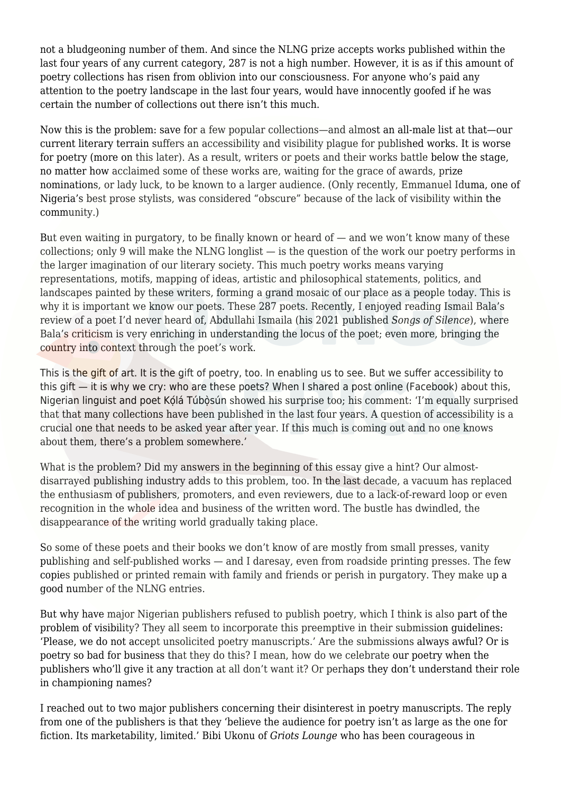not a bludgeoning number of them. And since the NLNG prize accepts works published within the last four years of any current category, 287 is not a high number. However, it is as if this amount of poetry collections has risen from oblivion into our consciousness. For anyone who's paid any attention to the poetry landscape in the last four years, would have innocently goofed if he was certain the number of collections out there isn't this much.

Now this is the problem: save for a few popular collections—and almost an all-male list at that—our current literary terrain suffers an accessibility and visibility plague for published works. It is worse for poetry (more on this later). As a result, writers or poets and their works battle below the stage, no matter how acclaimed some of these works are, waiting for the grace of awards, prize nominations, or lady luck, to be known to a larger audience. (Only recently, Emmanuel Iduma, one of Nigeria's best prose stylists, was considered "obscure" because of the lack of visibility within the community.)

But even waiting in purgatory, to be finally known or heard of  $-$  and we won't know many of these collections; only 9 will make the NLNG longlist — is the question of the work our poetry performs in the larger imagination of our literary society. This much poetry works means varying representations, motifs, mapping of ideas, artistic and philosophical statements, politics, and landscapes painted by these writers, forming a grand mosaic of our place as a people today. This is why it is important we know our poets. These 287 poets. Recently, I enjoyed reading Ismail Bala's [review](https://shamsrumi.com.ng/2021/09/13/hymn-of-praise-a-review-of-abdullahi-ismailas-songs-of-silence-ismail-bala/) of a poet I'd never heard of, Abdullahi Ismaila (his 2021 published *Songs of Silence*), where Bala's criticism is very enriching in understanding the locus of the poet; even more, bringing the country into context through the poet's work.

This is the gift of art. It is the gift of poetry, too. In enabling us to see. But we suffer accessibility to this gift — it is why we cry: who are these poets? When I shared a post online (Facebook) about this, Nigerian linguist and poet Kọ́lá Túbọ̀sún [showed](https://web.facebook.com/blacdialect/posts/5185377338187343) his surprise too; his comment: 'I'm equally surprised that that many collections have been published in the last four years. A question of accessibility is a crucial one that needs to be asked year after year. If this much is coming out and no one knows about them, there's a problem somewhere.'

What is the problem? Did my answers in the beginning of this essay give a hint? Our almostdisarrayed publishing industry adds to this problem, too. In the last decade, a vacuum has replaced the enthusiasm of publishers, promoters, and even reviewers, due to a lack-of-reward loop or even recognition in the whole idea and business of the written word. The bustle has dwindled, the disappearance of the writing world gradually taking place.

So some of these poets and their books we don't know of are mostly from small presses, vanity publishing and self-published works — and I daresay, even from roadside printing presses. The few copies published or printed remain with family and friends or perish in purgatory. They make up a good number of the NLNG entries.

But why have major Nigerian publishers refused to publish poetry, which I think is also part of the problem of visibility? They all seem to incorporate this preemptive in their submission guidelines: 'Please, we do not accept unsolicited poetry manuscripts.' Are the submissions always awful? Or is poetry so bad for business that they do this? I mean, how do we celebrate our poetry when the publishers who'll give it any traction at all don't want it? Or perhaps they don't understand their role in championing names?

I reached out to two major publishers concerning their disinterest in poetry manuscripts. The reply from one of the publishers is that they 'believe the audience for poetry isn't as large as the one for fiction. Its marketability, limited.' Bibi Ukonu of *Griots Lounge* who has been courageous in